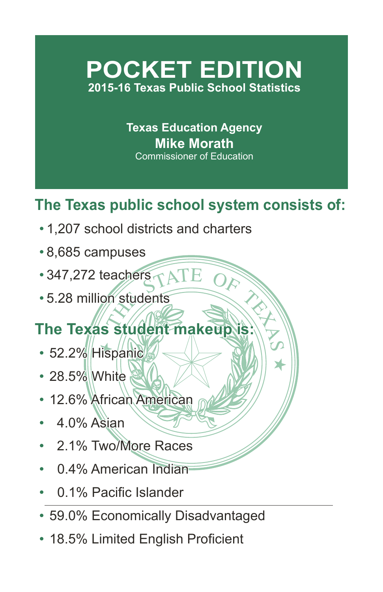## **POCKET EDITION 2015-16 Texas Public School Statistics**

**Texas Education Agency Mike Morath** Commissioner of Education

## **The Texas public school system consists of:**

- 1,207 school districts and charters
- 8,685 campuses
- 347,272 teachers
- 5.28 million students

# Exacters<br>
The students<br>
Student makeup is: **The Texas student makeup is:**

- 52.2% Hispanic
- 28.5% White
- 12.6% African American
- 04.0% Asian
- 2.1% Two/More Races
- 0.4% American Indian
- 0.1% Pacific Islander
- 59.0% Economically Disadvantaged
- 18.5% Limited English Proficient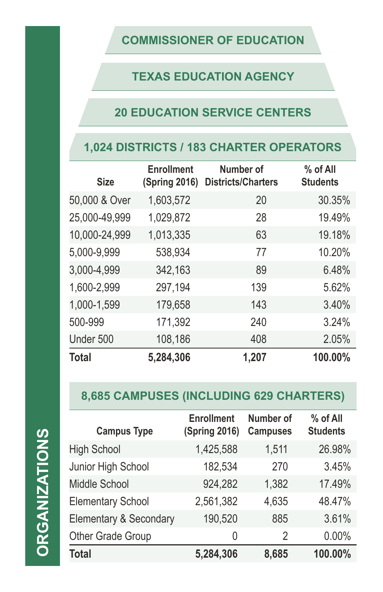#### **COMMISSIONER OF EDUCATION**

### **TEXAS EDUCATION AGENCY**

#### **20 EDUCATION SERVICE CENTERS**

#### **1,024 DISTRICTS / 183 CHARTER OPERATORS**

| <b>Size</b>   | <b>Enrollment</b><br><b>(Spring 2016)</b> | Number of<br><b>Districts/Charters</b> | % of All<br><b>Students</b> |
|---------------|-------------------------------------------|----------------------------------------|-----------------------------|
| 50,000 & Over | 1,603,572                                 | 20                                     | 30.35%                      |
| 25,000-49,999 | 1,029,872                                 | 28                                     | 19.49%                      |
| 10,000-24,999 | 1,013,335                                 | 63                                     | 19.18%                      |
| 5,000-9,999   | 538,934                                   | 77                                     | 10.20%                      |
| 3,000-4,999   | 342,163                                   | 89                                     | 6.48%                       |
| 1,600-2,999   | 297,194                                   | 139                                    | 5.62%                       |
| 1,000-1,599   | 179,658                                   | 143                                    | 3.40%                       |
| 500-999       | 171,392                                   | 240                                    | 3.24%                       |
| Under 500     | 108,186                                   | 408                                    | 2.05%                       |
| <b>Total</b>  | 5,284,306                                 | 1,207                                  | 100.00%                     |

## **8,685 CAMPUSES (INCLUDING 629 CHARTERS)**

| г |
|---|
| I |
| i |
|   |
|   |
|   |
|   |
|   |
| ֕ |
| r |
|   |
|   |
|   |
|   |

| <b>Campus Type</b>                | <b>Enrollment</b><br><b>(Spring 2016)</b> | <b>Number of</b><br><b>Campuses</b> | % of All<br><b>Students</b> |
|-----------------------------------|-------------------------------------------|-------------------------------------|-----------------------------|
| <b>High School</b>                | 1,425,588                                 | 1,511                               | 26.98%                      |
| Junior High School                | 182,534                                   | 270                                 | 3.45%                       |
| <b>Middle School</b>              | 924,282                                   | 1,382                               | 17.49%                      |
| <b>Elementary School</b>          | 2,561,382                                 | 4,635                               | 48.47%                      |
| <b>Elementary &amp; Secondary</b> | 190,520                                   | 885                                 | 3.61%                       |
| Other Grade Group                 | 0                                         | 2                                   | 0.00%                       |
| <b>Total</b>                      | 5,284,306                                 | 8,685                               | 100.00%                     |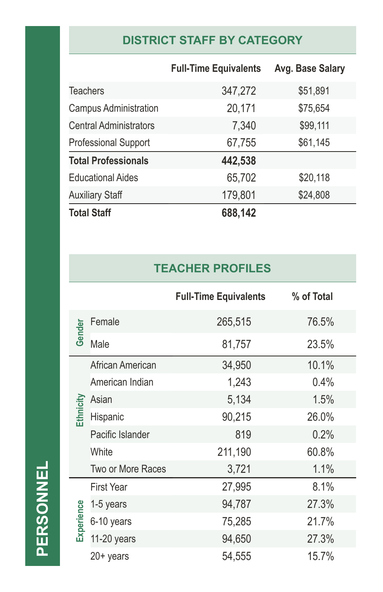## **DISTRICT STAFF BY CATEGORY**

|                               | <b>Full-Time Equivalents</b> | Avg. Base Salary |
|-------------------------------|------------------------------|------------------|
| <b>Teachers</b>               | 347,272                      | \$51,891         |
| <b>Campus Administration</b>  | 20,171                       | \$75,654         |
| <b>Central Administrators</b> | 7,340                        | \$99,111         |
| <b>Professional Support</b>   | 67,755                       | \$61,145         |
| <b>Total Professionals</b>    | 442,538                      |                  |
| <b>Educational Aides</b>      | 65,702                       | \$20,118         |
| <b>Auxiliary Staff</b>        | 179,801                      | \$24,808         |
| <b>Total Staff</b>            | 688,142                      |                  |

#### **TEACHER PROFILES**

|            |                   | <b>Full-Time Equivalents</b> | % of Total |
|------------|-------------------|------------------------------|------------|
|            | Female            | 265,515                      | 76.5%      |
| Gender     | Male              | 81,757                       | 23.5%      |
|            | African American  | 34,950                       | 10.1%      |
|            | American Indian   | 1,243                        | 0.4%       |
|            | Asian             | 5,134                        | 1.5%       |
| Ethnicity  | Hispanic          | 90,215                       | 26.0%      |
|            | Pacific Islander  | 819                          | 0.2%       |
|            | White             | 211,190                      | 60.8%      |
|            | Two or More Races | 3,721                        | 1.1%       |
|            | <b>First Year</b> | 27,995                       | 8.1%       |
|            | 1-5 years         | 94,787                       | 27.3%      |
| Experience | 6-10 years        | 75,285                       | 21.7%      |
|            | 11-20 years       | 94,650                       | 27.3%      |
|            | $20+$ years       | 54,555                       | 15.7%      |

PERSONNEL **PERSONNEL**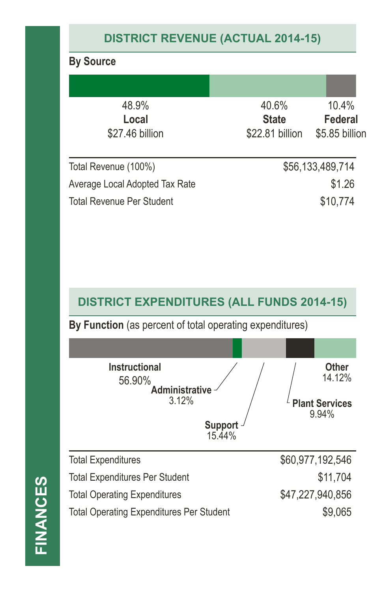## **DISTRICT REVENUE (ACTUAL 2014-15)**

#### **By Source** Total Revenue (100%) \$56,133,489,714 Average Local Adopted Tax Rate  $$1.26$ Total Revenue Per Student  $$10,774$ 48.9% **Local** \$27.46 billion 40.6% **State** \$22.81 billion 10.4% **Federal** \$5.85 billion

#### **DISTRICT EXPENDITURES (ALL FUNDS 2014-15)**

**By Function** (as percent of total operating expenditures)

| <b>Instructional</b><br>56.90%<br><b>Administrative</b><br>3.12%<br><b>Support</b><br>15.44% | <b>Other</b><br>14.12%<br><b>Plant Services</b><br>9.94% |
|----------------------------------------------------------------------------------------------|----------------------------------------------------------|
| <b>Total Expenditures</b>                                                                    | \$60,977,192,546                                         |
| <b>Total Expenditures Per Student</b>                                                        | \$11,704                                                 |
| <b>Total Operating Expenditures</b>                                                          | \$47,227,940,856                                         |
| <b>Total Operating Expenditures Per Student</b>                                              | \$9,065                                                  |

# **FINANCES FINANCES**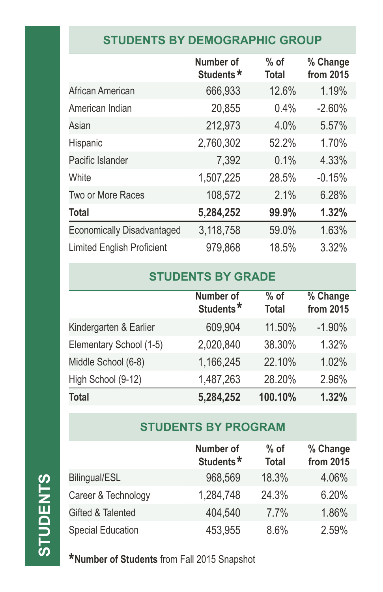#### **STUDENTS BY DEMOGRAPHIC GROUP**

|                                   | Number of<br>Students* | $%$ of<br><b>Total</b> | % Change<br>from 2015 |
|-----------------------------------|------------------------|------------------------|-----------------------|
| African American                  | 666,933                | 12.6%                  | 1.19%                 |
| American Indian                   | 20,855                 | 0.4%                   | $-2.60%$              |
| Asian                             | 212,973                | 4.0%                   | 5.57%                 |
| Hispanic                          | 2,760,302              | 52.2%                  | 1.70%                 |
| Pacific Islander                  | 7,392                  | 0.1%                   | 4.33%                 |
| White                             | 1,507,225              | 28.5%                  | $-0.15%$              |
| Two or More Races                 | 108,572                | 2.1%                   | 6.28%                 |
| <b>Total</b>                      | 5,284,252              | 99.9%                  | 1.32%                 |
| <b>Economically Disadvantaged</b> | 3,118,758              | 59.0%                  | 1.63%                 |
| <b>Limited English Proficient</b> | 979,868                | 18.5%                  | 3.32%                 |

### **STUDENTS BY GRADE**

|                         | Number of<br>Students* | $%$ of<br><b>Total</b> | % Change<br>from 2015 |
|-------------------------|------------------------|------------------------|-----------------------|
| Kindergarten & Earlier  | 609,904                | 11.50%                 | $-1.90%$              |
| Elementary School (1-5) | 2,020,840              | 38.30%                 | 1.32%                 |
| Middle School (6-8)     | 1,166,245              | 22.10%                 | 1.02%                 |
| High School (9-12)      | 1,487,263              | 28.20%                 | 2.96%                 |
| Total                   | 5,284,252              | 100.10%                | 1.32%                 |

#### **STUDENTS BY PROGRAM**

|                          | <b>Number of</b><br>Students* | $%$ of<br><b>Total</b> | % Change<br>from 2015 |
|--------------------------|-------------------------------|------------------------|-----------------------|
| Bilingual/ESL            | 968,569                       | 18.3%                  | 4.06%                 |
| Career & Technology      | 1,284.748                     | 24.3%                  | 6.20%                 |
| Gifted & Talented        | 404,540                       | 7.7%                   | 1.86%                 |
| <b>Special Education</b> | 453,955                       | 8.6%                   | 2.59%                 |

**\*Number of Students** from Fall 2015 Snapshot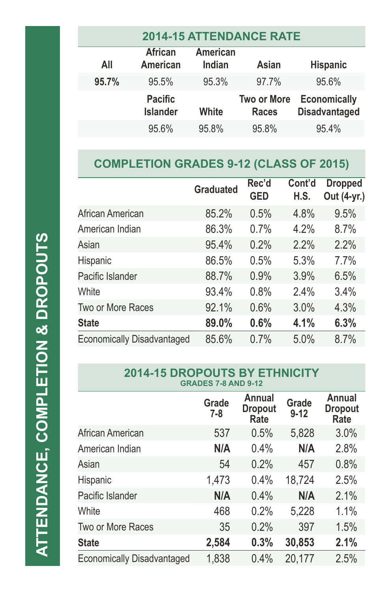| <b>2014-15 ATTENDANCE RATE</b> |                                   |                           |                                    |                                             |
|--------------------------------|-----------------------------------|---------------------------|------------------------------------|---------------------------------------------|
| All                            | <b>African</b><br><b>American</b> | <b>American</b><br>Indian | Asian                              | <b>Hispanic</b>                             |
| 95.7%                          | 95.5%                             | 95.3%                     | 97.7%                              | 95.6%                                       |
|                                | <b>Pacific</b><br><b>Islander</b> | White                     | <b>Two or More</b><br><b>Races</b> | <b>Economically</b><br><b>Disadvantaged</b> |
|                                | 95.6%                             | 95.8%                     | 95.8%                              | 95.4%                                       |

## **COMPLETION GRADES 9-12 (CLASS OF 2015)**

|                                   | <b>Graduated</b> | Rec'd<br><b>GED</b> | Cont'd<br>H.S. | <b>Dropped</b><br>Out (4-yr.) |
|-----------------------------------|------------------|---------------------|----------------|-------------------------------|
| African American                  | 85.2%            | 0.5%                | 4.8%           | 9.5%                          |
| American Indian                   | 86.3%            | 0.7%                | 4.2%           | 8.7%                          |
| Asian                             | 95.4%            | 0.2%                | 2.2%           | 2.2%                          |
| Hispanic                          | 86.5%            | 0.5%                | 5.3%           | 7.7%                          |
| Pacific Islander                  | 88.7%            | 0.9%                | 3.9%           | 6.5%                          |
| White                             | 93.4%            | 0.8%                | 2.4%           | 3.4%                          |
| Two or More Races                 | 92.1%            | 0.6%                | 3.0%           | 4.3%                          |
| <b>State</b>                      | 89.0%            | 0.6%                | 4.1%           | 6.3%                          |
| <b>Economically Disadvantaged</b> | 85.6%            | 0.7%                | 5.0%           | 8.7%                          |

#### **2014-15 DROPOUTS BY ETHNICITY GRADES 7-8 AND 9-12**

|                                   | Grade<br>7-8 | Annual<br><b>Dropout</b><br>Rate | Grade<br>$9 - 12$ | Annual<br><b>Dropout</b><br>Rate |
|-----------------------------------|--------------|----------------------------------|-------------------|----------------------------------|
| African American                  | 537          | 0.5%                             | 5,828             | 3.0%                             |
| American Indian                   | N/A          | 0.4%                             | N/A               | 2.8%                             |
| Asian                             | 54           | 0.2%                             | 457               | 0.8%                             |
| Hispanic                          | 1,473        | 0.4%                             | 18,724            | 2.5%                             |
| Pacific Islander                  | N/A          | 0.4%                             | N/A               | 2.1%                             |
| White                             | 468          | 0.2%                             | 5,228             | 1.1%                             |
| Two or More Races                 | 35           | 0.2%                             | 397               | 1.5%                             |
| <b>State</b>                      | 2,584        | 0.3%                             | 30,853            | 2.1%                             |
| <b>Economically Disadvantaged</b> | 1,838        | 0.4%                             | 20,177            | 2.5%                             |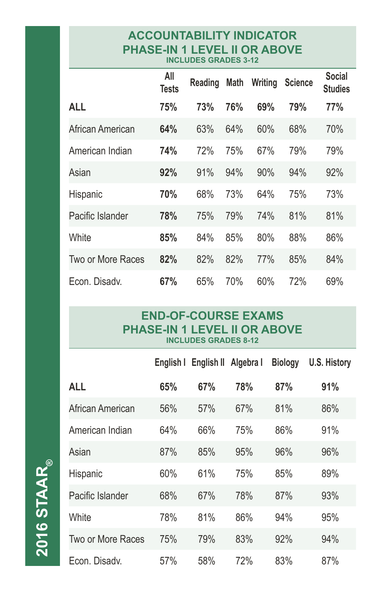#### **ACCOUNTABILITY INDICATOR PHASE-IN 1 LEVEL II OR ABOVE INCLUDES GRADES 3-12**

|                   | All<br>Tests | Reading | Math | Writing | <b>Science</b> | <b>Social</b><br><b>Studies</b> |
|-------------------|--------------|---------|------|---------|----------------|---------------------------------|
| <b>ALL</b>        | 75%          | 73%     | 76%  | 69%     | 79%            | 77%                             |
| African American  | 64%          | 63%     | 64%  | 60%     | 68%            | 70%                             |
| American Indian   | 74%          | 72%     | 75%  | 67%     | 79%            | 79%                             |
| Asian             | 92%          | 91%     | 94%  | 90%     | 94%            | 92%                             |
| Hispanic          | 70%          | 68%     | 73%  | 64%     | 75%            | 73%                             |
| Pacific Islander  | 78%          | 75%     | 79%  | 74%     | 81%            | 81%                             |
| White             | 85%          | 84%     | 85%  | 80%     | 88%            | 86%                             |
| Two or More Races | 82%          | 82%     | 82%  | 77%     | 85%            | 84%                             |
| Econ. Disady.     | 67%          | 65%     | 70%  | 60%     | 72%            | 69%                             |

#### **END-OF-COURSE EXAMS PHASE-IN 1 LEVEL II OR ABOVE INCLUDES GRADES 8-12**

|                   | English I | English II | Algebra I | <b>Biology</b> | <b>U.S. History</b> |
|-------------------|-----------|------------|-----------|----------------|---------------------|
| <b>ALL</b>        | 65%       | 67%        | 78%       | 87%            | 91%                 |
| African American  | 56%       | 57%        | 67%       | 81%            | 86%                 |
| American Indian   | 64%       | 66%        | 75%       | 86%            | 91%                 |
| Asian             | 87%       | 85%        | 95%       | 96%            | 96%                 |
| Hispanic          | 60%       | 61%        | 75%       | 85%            | 89%                 |
| Pacific Islander  | 68%       | 67%        | 78%       | 87%            | 93%                 |
| White             | 78%       | 81%        | 86%       | 94%            | 95%                 |
| Two or More Races | 75%       | 79%        | 83%       | 92%            | 94%                 |
| Econ. Disady.     | 57%       | 58%        | 72%       | 83%            | 87%                 |

**2016 STAAR 2016 STAAR**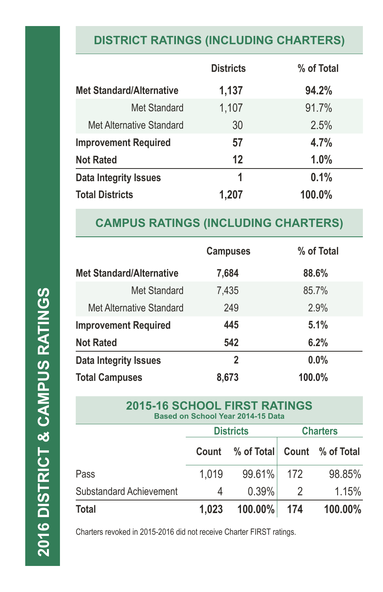## **DISTRICT RATINGS (INCLUDING CHARTERS)**

|                                 | <b>Districts</b> | % of Total |
|---------------------------------|------------------|------------|
| <b>Met Standard/Alternative</b> | 1,137            | 94.2%      |
| Met Standard                    | 1,107            | 91.7%      |
| Met Alternative Standard        | 30               | 2.5%       |
| <b>Improvement Required</b>     | 57               | 4.7%       |
| <b>Not Rated</b>                | 12               | 1.0%       |
| Data Integrity Issues           | 1                | 0.1%       |
| <b>Total Districts</b>          | 1,207            | 100.0%     |

### **CAMPUS RATINGS (INCLUDING CHARTERS)**

|                                 | <b>Campuses</b> | % of Total |
|---------------------------------|-----------------|------------|
| <b>Met Standard/Alternative</b> | 7,684           | 88.6%      |
| Met Standard                    | 7,435           | 85.7%      |
| Met Alternative Standard        | 249             | 2.9%       |
| <b>Improvement Required</b>     | 445             | 5.1%       |
| <b>Not Rated</b>                | 542             | 6.2%       |
| Data Integrity Issues           | 2               | $0.0\%$    |
| <b>Total Campuses</b>           | 8,673           | 100.0%     |

| <b>2015-16 SCHOOL FIRST RATINGS</b><br><b>Based on School Year 2014-15 Data</b> |       |                             |                 |         |  |
|---------------------------------------------------------------------------------|-------|-----------------------------|-----------------|---------|--|
|                                                                                 |       | <b>Districts</b>            | <b>Charters</b> |         |  |
|                                                                                 | Count | % of Total Count % of Total |                 |         |  |
| Pass                                                                            | 1,019 | 99.61% 172                  |                 | 98.85%  |  |
| <b>Substandard Achievement</b>                                                  | 4     | 0.39%                       | 2               | 1.15%   |  |
| Total                                                                           | 1,023 | $100.00\%$                  | -174            | 100.00% |  |

Charters revoked in 2015-2016 did not receive Charter FIRST ratings.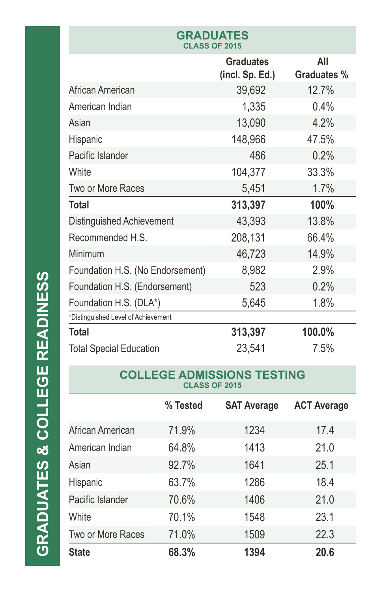| <b>GRADUATES</b><br><b>CLASS OF 2015</b> |                                     |                           |  |  |
|------------------------------------------|-------------------------------------|---------------------------|--|--|
|                                          | <b>Graduates</b><br>(incl. Sp. Ed.) | All<br><b>Graduates %</b> |  |  |
| African American                         | 39,692                              | 12.7%                     |  |  |
| American Indian                          | 1,335                               | 0.4%                      |  |  |
| Asian                                    | 13,090                              | 4.2%                      |  |  |
| Hispanic                                 | 148,966                             | 47.5%                     |  |  |
| Pacific Islander                         | 486                                 | 0.2%                      |  |  |
| White                                    | 104,377                             | 33.3%                     |  |  |
| Two or More Races                        | 5,451                               | 1.7%                      |  |  |
| Total                                    | 313,397                             | 100%                      |  |  |
| Distinguished Achievement                | 43,393                              | 13.8%                     |  |  |
| Recommended H.S.                         | 208,131                             | 66.4%                     |  |  |
| Minimum                                  | 46,723                              | 14.9%                     |  |  |
| Foundation H.S. (No Endorsement)         | 8,982                               | 2.9%                      |  |  |
| Foundation H.S. (Endorsement)            | 523                                 | 0.2%                      |  |  |
| Foundation H.S. (DLA*)                   | 5,645                               | 1.8%                      |  |  |
| *Distinguished Level of Achievement      |                                     |                           |  |  |
| <b>Total</b>                             | 313,397                             | 100.0%                    |  |  |
| <b>Total Special Education</b>           | 23,541                              | 7.5%                      |  |  |

#### **COLLEGE ADMISSIONS TESTING CLASS OF 2015**

|                   | % Tested | <b>SAT Average</b> | <b>ACT Average</b> |
|-------------------|----------|--------------------|--------------------|
| African American  | 71.9%    | 1234               | 17.4               |
| American Indian   | 64.8%    | 1413               | 21.0               |
| Asian             | 92.7%    | 1641               | 25.1               |
| Hispanic          | 63.7%    | 1286               | 18.4               |
| Pacific Islander  | 70.6%    | 1406               | 21.0               |
| White             | 70.1%    | 1548               | 23.1               |
| Two or More Races | 71.0%    | 1509               | 22.3               |
| <b>State</b>      | 68.3%    | 1394               | 20.6               |